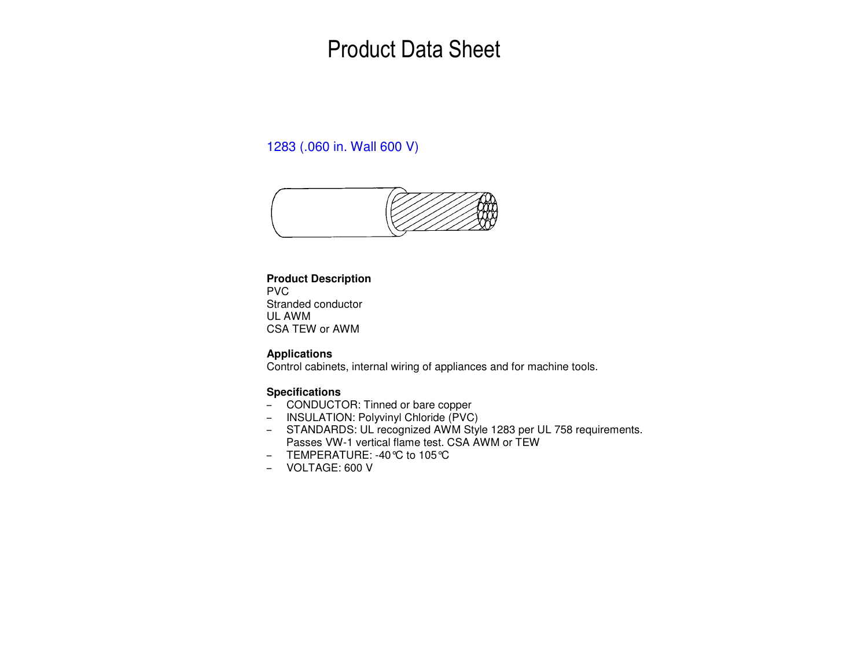# Product Data Sheet

### 1283 (.060 in. Wall 600 V)



### **Product Description**

PVC Stranded conductor UL AWM CSA TEW or AWM

#### **Applications**

Control cabinets, internal wiring of appliances and for machine tools.

#### **Specifications**

- CONDUCTOR: Tinned or bare copper
- INSULATION: Polyvinyl Chloride (PVC)
- STANDARDS: UL recognized AWM Style 1283 per UL 758 requirements. Passes VW-1 vertical flame test. CSA AWM or TEW
- TEMPERATURE: -40°C to 105°C
- VOLTAGE: 600 V